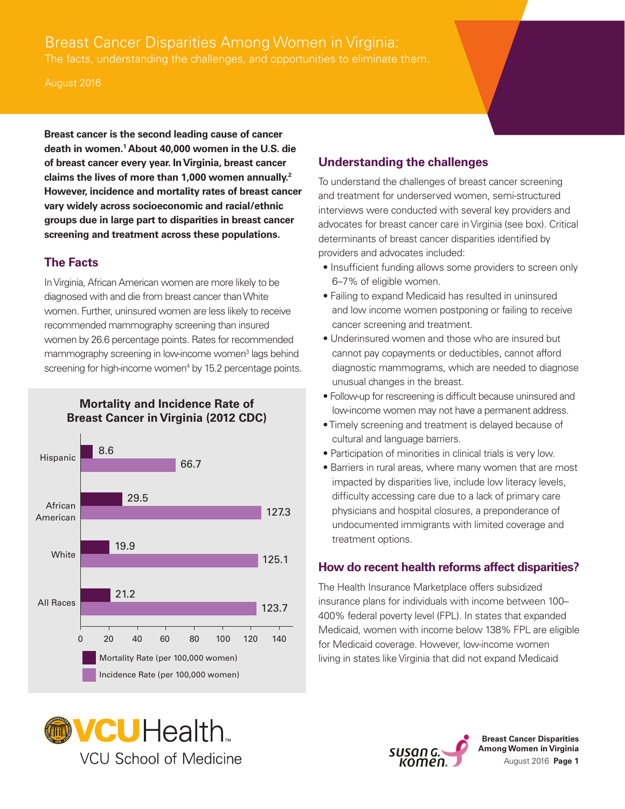# Breast Cancer Disparities Among Women in Virginia: The facts, understanding the challenges, and opportunities to eliminate them.

#### August 2016

**Breast cancer is the second leading cause of cancer death in women.1 About 40,000 women in the U.S. die of breast cancer every year. In Virginia, breast cancer claims the lives of more than 1,000 women annually.2 However, incidence and mortality rates of breast cancer vary widely across socioeconomic and racial/ethnic groups due in large part to disparities in breast cancer screening and treatment across these populations.** 

### **The Facts**

In Virginia, African American women are more likely to be diagnosed with and die from breast cancer than White women. Further, uninsured women are less likely to receive recommended mammography screening than insured women by 26.6 percentage points. Rates for recommended mammography screening in low-income women<sup>3</sup> lags behind screening for high-income women<sup>4</sup> by 15.2 percentage points.

**Mortality and Incidence Rate of Breast Cancer in Virginia (2012 CDC)** 



## **Understanding the challenges**  To understand the challenges of breast cancer screening

and treatment for underserved women, semi-structured interviews were conducted with several key providers and advocates for breast cancer care in Virginia (see box). Critical determinants of breast cancer disparities identified by providers and advocates included:

- Insufficient funding allows some providers to screen only 6–7% of eligible women.
- Failing to expand Medicaid has resulted in uninsured and low income women postponing or failing to receive cancer screening and treatment.
- Underinsured women and those who are insured but cannot pay copayments or deductibles, cannot afford diagnostic mammograms, which are needed to diagnose unusual changes in the breast.
- Follow-up for rescreening is difficult because uninsured and low-income women may not have a permanent address.
- Timely screening and treatment is delayed because of cultural and language barriers.
- Participation of minorities in clinical trials is very low.
- Barriers in rural areas, where many women that are most impacted by disparities live, include low literacy levels, difficulty accessing care due to a lack of primary care physicians and hospital closures, a preponderance of undocumented immigrants with limited coverage and treatment options.

### **How do recent health reforms affect disparities?**

The Health Insurance Marketplace offers subsidized insurance plans for individuals with income between 100– 400% federal poverty level (FPL). In states that expanded Medicaid, women with income below 138% FPL are eligible for Medicaid coverage. However, low-income women living in states like Virginia that did not expand Medicaid





**Breast Cancer Disparities Among Women in Virginia**  August 2016 **Page 1**